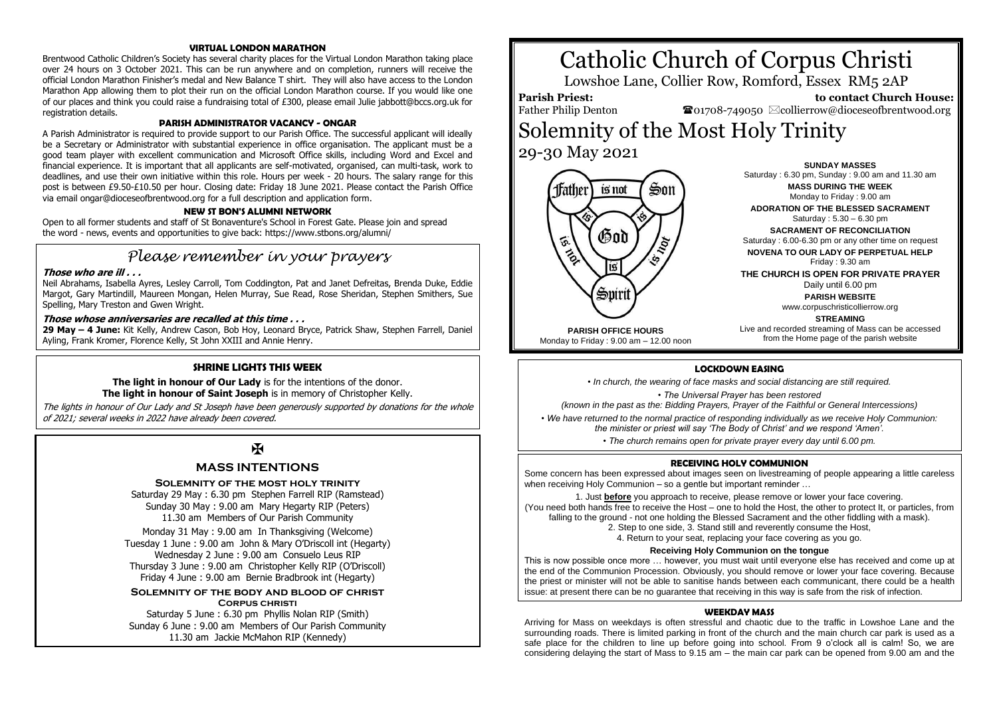# **VIRTUAL LONDON MARATHON**

Brentwood Catholic Children's Society has several charity places for the Virtual London Marathon taking place over 24 hours on 3 October 2021. This can be run anywhere and on completion, runners will receive the official London Marathon Finisher's medal and New Balance T shirt. They will also have access to the London Marathon App allowing them to plot their run on the official London Marathon course. If you would like one of our places and think you could raise a fundraising total of £300, please email Julie jabbott@bccs.org.uk for registration details.

# **PARISH ADMINISTRATOR VACANCY - ONGAR**

A Parish Administrator is required to provide support to our Parish Office. The successful applicant will ideally be a Secretary or Administrator with substantial experience in office organisation. The applicant must be a good team player with excellent communication and Microsoft Office skills, including Word and Excel and financial experience. It is important that all applicants are self-motivated, organised, can multi-task, work to deadlines, and use their own initiative within this role. Hours per week - 20 hours. The salary range for this post is between £9.50-£10.50 per hour. Closing date: Friday 18 June 2021. Please contact the Parish Office via email ongar@dioceseofbrentwood.org for a full description and application form.

# **NEW ST BON'S ALUMNI NETWORK**

Open to all former students and staff of St Bonaventure's School in Forest Gate. Please join and spread the word - news, events and opportunities to give back: https://www.stbons.org/alumni/

# *Please remember in your prayers*

#### **Those who are ill . . .**

Neil Abrahams, Isabella Ayres, Lesley Carroll, Tom Coddington, Pat and Janet Defreitas, Brenda Duke, Eddie Margot, Gary Martindill, Maureen Mongan, Helen Murray, Sue Read, Rose Sheridan, Stephen Smithers, Sue Spelling, Mary Treston and Gwen Wright.

# **Those whose anniversaries are recalled at this time . . .**

**29 May – 4 June:** Kit Kelly, Andrew Cason, Bob Hoy, Leonard Bryce, Patrick Shaw, Stephen Farrell, Daniel Ayling, Frank Kromer, Florence Kelly, St John XXIII and Annie Henry.

# **SHRINE LIGHTS THIS WEEK**

### **The light in honour of Our Lady** is for the intentions of the donor. **The light in honour of Saint Joseph** is in memory of Christopher Kelly.

The lights in honour of Our Lady and St Joseph have been generously supported by donations for the whole of 2021; several weeks in 2022 have already been covered.

# $\overline{\mathbf{R}}$

# **MASS INTENTIONS**

## **Solemnity of the most holy trinity**

Saturday 29 May : 6.30 pm Stephen Farrell RIP (Ramstead) Sunday 30 May : 9.00 am Mary Hegarty RIP (Peters) 11.30 am Members of Our Parish Community

Monday 31 May : 9.00 am In Thanksgiving (Welcome) Tuesday 1 June : 9.00 am John & Mary O'Driscoll int (Hegarty) Wednesday 2 June : 9.00 am Consuelo Leus RIP Thursday 3 June : 9.00 am Christopher Kelly RIP (O'Driscoll) Friday 4 June : 9.00 am Bernie Bradbrook int (Hegarty)

#### SOLEMNITY OF THE BODY AND BLOOD OF CHRIST **Corpus christi**

Saturday 5 June : 6.30 pm Phyllis Nolan RIP (Smith) Sunday 6 June : 9.00 am Members of Our Parish Community 11.30 am Jackie McMahon RIP (Kennedy)

# Catholic Church of Corpus Christi

Lowshoe Lane, Collier Row, Romford, Essex RM5 2AP

**Parish Priest:** Father Philip Denton

 **to contact Church House:**  $\mathbf{\Omega}_{01708\text{-}749050}$   $\boxtimes$  collierrow@dioceseofbrentwood.org

# Solemnity of the Most Holy Trinity 29-30 May 2021



Saturday : 6.30 pm, Sunday : 9.00 am and 11.30 am **MASS DURING THE WEEK** Monday to Friday : 9.00 am **ADORATION OF THE BLESSED SACRAMENT** Saturday : 5.30 – 6.30 pm **SACRAMENT OF RECONCILIATION** Saturday : 6.00-6.30 pm or any other time on request **NOVENA TO OUR LADY OF PERPETUAL HELP** Friday : 9.30 am **THE CHURCH IS OPEN FOR PRIVATE PRAYER** Daily until 6.00 pm

**SUNDAY MASSES**

**PARISH WEBSITE**

www.corpuschristicollierrow.org

**STREAMING**

**PARISH OFFICE HOURS** Monday to Friday : 9.00 am – 12.00 noon

#### Live and recorded streaming of Mass can be accessed from the Home page of the parish website

### **LOCKDOWN EASING**

*• In church, the wearing of face masks and social distancing are still required.*

*• The Universal Prayer has been restored*

*(known in the past as the: Bidding Prayers, Prayer of the Faithful or General Intercessions)*

*• We have returned to the normal practice of responding individually as we receive Holy Communion: the minister or priest will say 'The Body of Christ' and we respond 'Amen'.*

*• The church remains open for private prayer every day until 6.00 pm.*

# **RECEIVING HOLY COMMUNION**

Some concern has been expressed about images seen on livestreaming of people appearing a little careless when receiving Holy Communion – so a gentle but important reminder ...

1. Just **before** you approach to receive, please remove or lower your face covering. (You need both hands free to receive the Host – one to hold the Host, the other to protect It, or particles, from falling to the ground - not one holding the Blessed Sacrament and the other fiddling with a mask). 2. Step to one side, 3. Stand still and reverently consume the Host. 4. Return to your seat, replacing your face covering as you go.

#### **Receiving Holy Communion on the tongue**

This is now possible once more … however, you must wait until everyone else has received and come up at the end of the Communion Procession. Obviously, you should remove or lower your face covering. Because the priest or minister will not be able to sanitise hands between each communicant, there could be a health issue: at present there can be no guarantee that receiving in this way is safe from the risk of infection.

### **WEEKDAY MASS**

Arriving for Mass on weekdays is often stressful and chaotic due to the traffic in Lowshoe Lane and the surrounding roads. There is limited parking in front of the church and the main church car park is used as a safe place for the children to line up before going into school. From 9 o'clock all is calm! So, we are considering delaying the start of Mass to 9.15 am – the main car park can be opened from 9.00 am and the